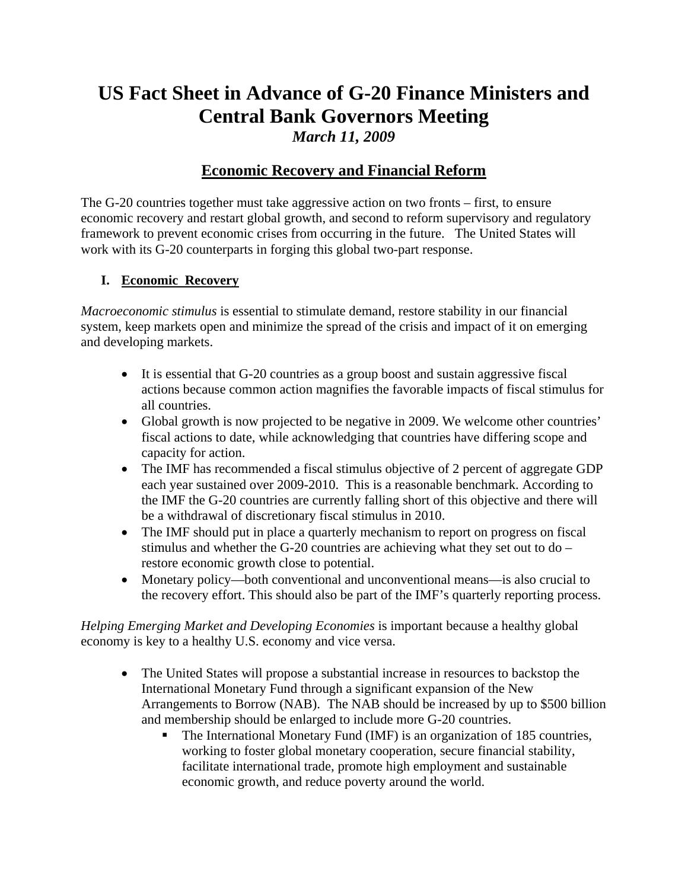# **US Fact Sheet in Advance of G-20 Finance Ministers and Central Bank Governors Meeting**  *March 11, 2009*

## **Economic Recovery and Financial Reform**

The G-20 countries together must take aggressive action on two fronts – first, to ensure economic recovery and restart global growth, and second to reform supervisory and regulatory framework to prevent economic crises from occurring in the future. The United States will work with its G-20 counterparts in forging this global two-part response.

#### **I. Economic Recovery**

*Macroeconomic stimulus* is essential to stimulate demand, restore stability in our financial system, keep markets open and minimize the spread of the crisis and impact of it on emerging and developing markets.

- It is essential that G-20 countries as a group boost and sustain aggressive fiscal actions because common action magnifies the favorable impacts of fiscal stimulus for all countries.
- Global growth is now projected to be negative in 2009. We welcome other countries' fiscal actions to date, while acknowledging that countries have differing scope and capacity for action.
- The IMF has recommended a fiscal stimulus objective of 2 percent of aggregate GDP each year sustained over 2009-2010. This is a reasonable benchmark. According to the IMF the G-20 countries are currently falling short of this objective and there will be a withdrawal of discretionary fiscal stimulus in 2010.
- The IMF should put in place a quarterly mechanism to report on progress on fiscal stimulus and whether the G-20 countries are achieving what they set out to do – restore economic growth close to potential.
- Monetary policy—both conventional and unconventional means—is also crucial to the recovery effort. This should also be part of the IMF's quarterly reporting process.

*Helping Emerging Market and Developing Economies* is important because a healthy global economy is key to a healthy U.S. economy and vice versa.

- The United States will propose a substantial increase in resources to backstop the International Monetary Fund through a significant expansion of the New Arrangements to Borrow (NAB). The NAB should be increased by up to \$500 billion and membership should be enlarged to include more G-20 countries.
	- The International Monetary Fund (IMF) is an organization of 185 countries, working to foster global monetary cooperation, secure financial stability, facilitate international trade, promote high employment and sustainable economic growth, and reduce poverty around the world.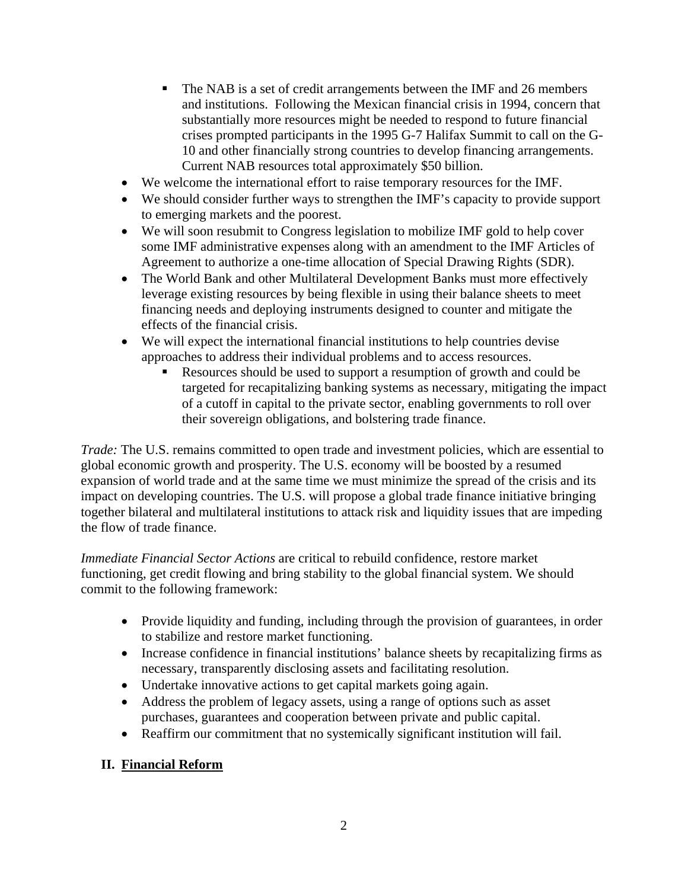- The NAB is a set of credit arrangements between the IMF and 26 members and institutions. Following the Mexican financial crisis in 1994, concern that substantially more resources might be needed to respond to future financial crises prompted participants in the 1995 G-7 Halifax Summit to call on the G-10 and other financially strong countries to develop financing arrangements. Current NAB resources total approximately \$50 billion.
- We welcome the international effort to raise temporary resources for the IMF.
- We should consider further ways to strengthen the IMF's capacity to provide support to emerging markets and the poorest.
- We will soon resubmit to Congress legislation to mobilize IMF gold to help cover some IMF administrative expenses along with an amendment to the IMF Articles of Agreement to authorize a one-time allocation of Special Drawing Rights (SDR).
- The World Bank and other Multilateral Development Banks must more effectively leverage existing resources by being flexible in using their balance sheets to meet financing needs and deploying instruments designed to counter and mitigate the effects of the financial crisis.
- We will expect the international financial institutions to help countries devise approaches to address their individual problems and to access resources.
	- Resources should be used to support a resumption of growth and could be targeted for recapitalizing banking systems as necessary, mitigating the impact of a cutoff in capital to the private sector, enabling governments to roll over their sovereign obligations, and bolstering trade finance.

*Trade:* The U.S. remains committed to open trade and investment policies, which are essential to global economic growth and prosperity. The U.S. economy will be boosted by a resumed expansion of world trade and at the same time we must minimize the spread of the crisis and its impact on developing countries. The U.S. will propose a global trade finance initiative bringing together bilateral and multilateral institutions to attack risk and liquidity issues that are impeding the flow of trade finance.

*Immediate Financial Sector Actions* are critical to rebuild confidence, restore market functioning, get credit flowing and bring stability to the global financial system. We should commit to the following framework:

- Provide liquidity and funding, including through the provision of guarantees, in order to stabilize and restore market functioning.
- Increase confidence in financial institutions' balance sheets by recapitalizing firms as necessary, transparently disclosing assets and facilitating resolution.
- Undertake innovative actions to get capital markets going again.
- Address the problem of legacy assets, using a range of options such as asset purchases, guarantees and cooperation between private and public capital.
- Reaffirm our commitment that no systemically significant institution will fail.

### **II. Financial Reform**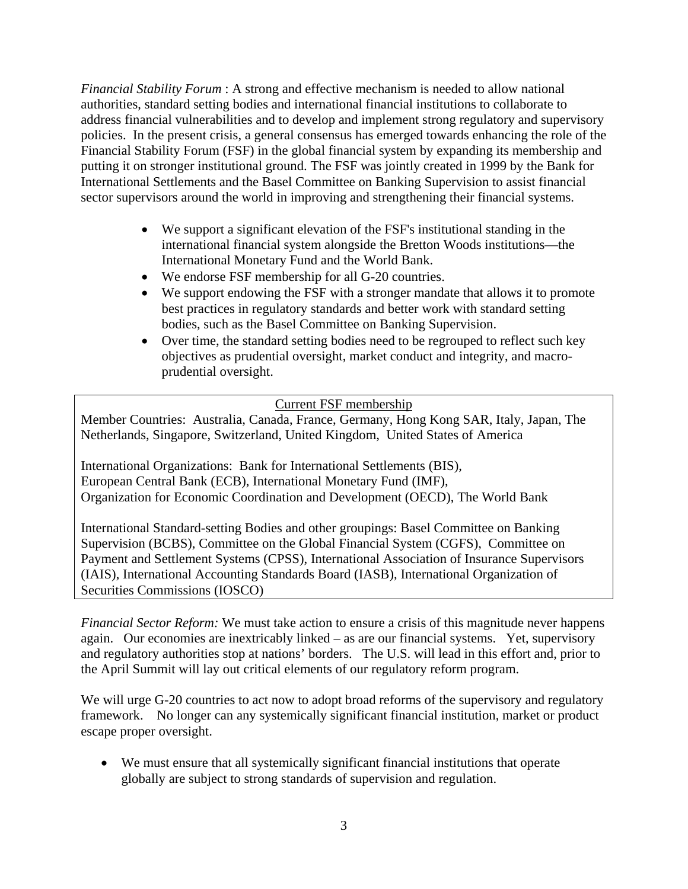*Financial Stability Forum* : A strong and effective mechanism is needed to allow national authorities, standard setting bodies and international financial institutions to collaborate to address financial vulnerabilities and to develop and implement strong regulatory and supervisory policies. In the present crisis, a general consensus has emerged towards enhancing the role of the Financial Stability Forum (FSF) in the global financial system by expanding its membership and putting it on stronger institutional ground. The FSF was jointly created in 1999 by the Bank for International Settlements and the Basel Committee on Banking Supervision to assist financial sector supervisors around the world in improving and strengthening their financial systems.

- We support a significant elevation of the FSF's institutional standing in the international financial system alongside the Bretton Woods institutions—the International Monetary Fund and the World Bank.
- We endorse FSF membership for all G-20 countries.
- We support endowing the FSF with a stronger mandate that allows it to promote best practices in regulatory standards and better work with standard setting bodies, such as the Basel Committee on Banking Supervision.
- Over time, the standard setting bodies need to be regrouped to reflect such key objectives as prudential oversight, market conduct and integrity, and macroprudential oversight.

#### Current FSF membership

Member Countries: Australia, Canada, France, Germany, Hong Kong SAR, Italy, Japan, The Netherlands, Singapore, Switzerland, United Kingdom, United States of America

International Organizations: Bank for International Settlements (BIS), European Central Bank (ECB), International Monetary Fund (IMF), Organization for Economic Coordination and Development (OECD), The World Bank

International Standard-setting Bodies and other groupings: Basel Committee on Banking Supervision (BCBS), Committee on the Global Financial System (CGFS), Committee on Payment and Settlement Systems (CPSS), International Association of Insurance Supervisors (IAIS), International Accounting Standards Board (IASB), International Organization of Securities Commissions (IOSCO)

*Financial Sector Reform:* We must take action to ensure a crisis of this magnitude never happens again. Our economies are inextricably linked – as are our financial systems. Yet, supervisory and regulatory authorities stop at nations' borders. The U.S. will lead in this effort and, prior to the April Summit will lay out critical elements of our regulatory reform program.

We will urge G-20 countries to act now to adopt broad reforms of the supervisory and regulatory framework. No longer can any systemically significant financial institution, market or product escape proper oversight.

• We must ensure that all systemically significant financial institutions that operate globally are subject to strong standards of supervision and regulation.